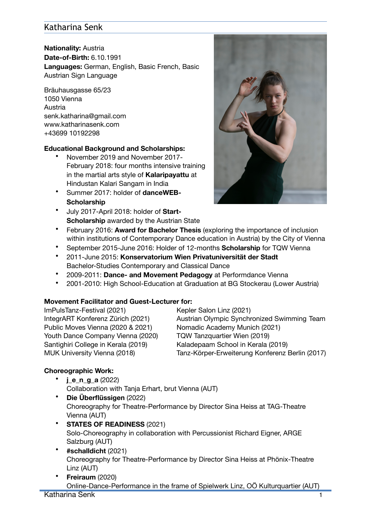# Katharina Senk

**Nationality:** Austria **Date-of-Birth:** 6.10.1991 **Languages:** German, English, Basic French, Basic Austrian Sign Language

Bräuhausgasse 65/23 1050 Vienna Austria senk.katharina@gmail.com www.katharinasenk.com +43699 10192298 

#### **Educational Background and Scholarships:**

- November 2019 and November 2017- February 2018: four months intensive training in the martial arts style of **Kalaripayattu** at Hindustan Kalari Sangam in India
- Summer 2017: holder of **danceWEB-Scholarship**
- July 2017-April 2018: holder of **Start-Scholarship** awarded by the Austrian State



- February 2016: **Award for Bachelor Thesis** (exploring the importance of inclusion within institutions of Contemporary Dance education in Austria) by the City of Vienna
- September 2015-June 2016: Holder of 12-months **Scholarship** for TQW Vienna
- 2011-June 2015: **Konservatorium Wien Privatuniversität der Stadt**  Bachelor-Studies Contemporary and Classical Dance
- 2009-2011: **Dance- and Movement Pedagogy** at Performdance Vienna
- 2001-2010: High School-Education at Graduation at BG Stockerau (Lower Austria)

### **Movement Facilitator and Guest-Lecturer for:**

ImPulsTanz-Festival (2021) Kepler Salon Linz (2021) Public Moves Vienna (2020 & 2021) Nomadic Academy Munich (2021) Youth Dance Company Vienna (2020) TQW Tanzquartier Wien (2019) Santighiri College in Kerala (2019) Kaladepaam School in Kerala (2019)

IntegrART Konferenz Zürich (2021) Austrian Olympic Synchronized Swimming Team MUK University Vienna (2018) Tanz-Körper-Erweiterung Konferenz Berlin (2017)

### **Choreographic Work:**

- **j\_e\_n\_g\_a** (2022) Collaboration with Tanja Erhart, brut Vienna (AUT)
- **Die Überflüssigen** (2022) Choreography for Theatre-Performance by Director Sina Heiss at TAG-Theatre Vienna (AUT)
- **STATES OF READINESS** (2021) Solo-Choreography in collaboration with Percussionist Richard Eigner, ARGE Salzburg (AUT)
- **#schalldicht** (2021) Choreography for Theatre-Performance by Director Sina Heiss at Phönix-Theatre Linz (AUT)
- **Freiraum** (2020) Online-Dance-Performance in the frame of Spielwerk Linz, OÖ Kulturquartier (AUT) Katharina Senk

1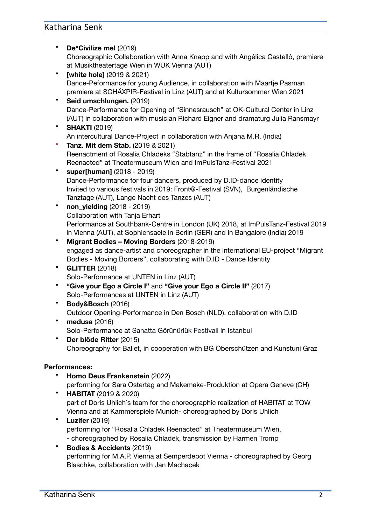## Katharina Senk

- **De\*Civilize me!** (2019) Choreographic Collaboration with Anna Knapp and with Angélica Castelló, premiere at Musiktheatertage Wien in WUK Vienna (AUT)
- **[white hole]** (2019 & 2021) Dance-Peformance for young Audience, in collaboration with Maartje Pasman premiere at SCHÄXPIR-Festival in Linz (AUT) and at Kultursommer Wien 2021
- **Seid umschlungen.** (2019) Dance-Performance for Opening of "Sinnesrausch" at OK-Cultural Center in Linz (AUT) in collaboration with musician Richard Eigner and dramaturg Julia Ransmayr
- **SHAKTI** (2019) An intercultural Dance-Project in collaboration with Anjana M.R. (India)
- **Tanz. Mit dem Stab.** (2019 & 2021) Reenactment of Rosalia Chladeks "Stabtanz" in the frame of "Rosalia Chladek Reenacted" at Theatermuseum Wien and ImPulsTanz-Festival 2021
- **super[human]** (2018 2019) Dance-Performance for four dancers, produced by D.ID-dance identity Invited to various festivals in 2019: Front@-Festival (SVN), Burgenländische Tanztage (AUT), Lange Nacht des Tanzes (AUT)
- **non\_yielding** (2018 2019) Collaboration with Tanja Erhart Performance at Southbank-Centre in London (UK) 2018, at ImPulsTanz-Festival 2019 in Vienna (AUT), at Sophiensaele in Berlin (GER) and in Bangalore (India) 2019
- **Migrant Bodies Moving Borders** (2018-2019) engaged as dance-artist and choreographer in the international EU-project "Migrant Bodies - Moving Borders", collaborating with D.ID - Dance Identity
- **GLITTER** (2018) Solo-Performance at UNTEN in Linz (AUT)
- **"Give your Ego a Circle I"** and **"Give your Ego a Circle II"** (2017) Solo-Performances at UNTEN in Linz (AUT)
- **Body&Bosch** (2016) Outdoor Opening-Performance in Den Bosch (NLD), collaboration with D.ID
- **medusa** (2016) Solo-Performance at Sanatta Görünürlük Festivali in Istanbul
- **Der blöde Ritter** (2015) Choreography for Ballet, in cooperation with BG Oberschützen and Kunstuni Graz

### **Performances:**

- **Homo Deus Frankenstein** (2022) performing for Sara Ostertag and Makemake-Produktion at Opera Geneve (CH)
- **HABITAT** (2019 & 2020) part of Doris Uhlich´s team for the choreographic realization of HABITAT at TQW Vienna and at Kammerspiele Munich- choreographed by Doris Uhlich
- **Luzifer** (2019) performing for "Rosalia Chladek Reenacted" at Theatermuseum Wien, **-** choreographed by Rosalia Chladek, transmission by Harmen Tromp
- **Bodies & Accidents** (2019) performing for M.A.P. Vienna at Semperdepot Vienna - choreographed by Georg Blaschke, collaboration with Jan Machacek